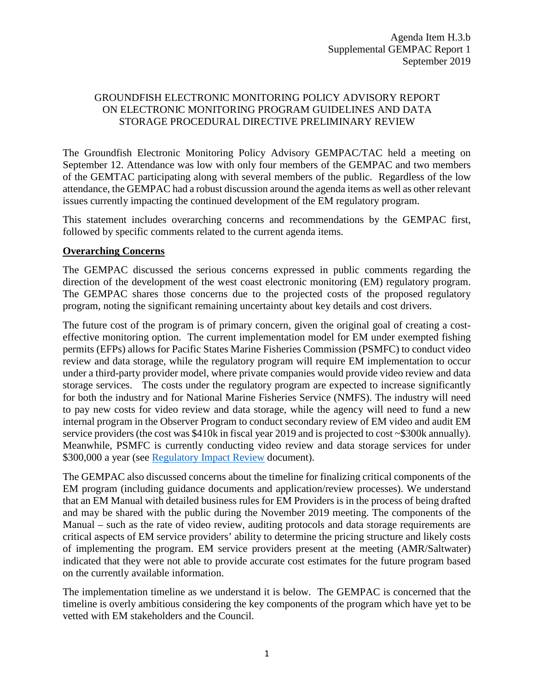## GROUNDFISH ELECTRONIC MONITORING POLICY ADVISORY REPORT ON ELECTRONIC MONITORING PROGRAM GUIDELINES AND DATA STORAGE PROCEDURAL DIRECTIVE PRELIMINARY REVIEW

The Groundfish Electronic Monitoring Policy Advisory GEMPAC/TAC held a meeting on September 12. Attendance was low with only four members of the GEMPAC and two members of the GEMTAC participating along with several members of the public. Regardless of the low attendance, the GEMPAC had a robust discussion around the agenda items as well as other relevant issues currently impacting the continued development of the EM regulatory program.

This statement includes overarching concerns and recommendations by the GEMPAC first, followed by specific comments related to the current agenda items.

## **Overarching Concerns**

The GEMPAC discussed the serious concerns expressed in public comments regarding the direction of the development of the west coast electronic monitoring (EM) regulatory program. The GEMPAC shares those concerns due to the projected costs of the proposed regulatory program, noting the significant remaining uncertainty about key details and cost drivers.

The future cost of the program is of primary concern, given the original goal of creating a costeffective monitoring option. The current implementation model for EM under exempted fishing permits (EFPs) allows for Pacific States Marine Fisheries Commission (PSMFC) to conduct video review and data storage, while the regulatory program will require EM implementation to occur under a third-party provider model, where private companies would provide video review and data storage services. The costs under the regulatory program are expected to increase significantly for both the industry and for National Marine Fisheries Service (NMFS). The industry will need to pay new costs for video review and data storage, while the agency will need to fund a new internal program in the Observer Program to conduct secondary review of EM video and audit EM service providers (the cost was \$410k in fiscal year 2019 and is projected to cost ~\$300k annually). Meanwhile, PSMFC is currently conducting video review and data storage services for under \$300,000 a year (see Regulatory Impact Review document).

The GEMPAC also discussed concerns about the timeline for finalizing critical components of the EM program (including guidance documents and application/review processes). We understand that an EM Manual with detailed business rules for EM Providers is in the process of being drafted and may be shared with the public during the November 2019 meeting. The components of the Manual – such as the rate of video review, auditing protocols and data storage requirements are critical aspects of EM service providers' ability to determine the pricing structure and likely costs of implementing the program. EM service providers present at the meeting (AMR/Saltwater) indicated that they were not able to provide accurate cost estimates for the future program based on the currently available information.

The implementation timeline as we understand it is below. The GEMPAC is concerned that the timeline is overly ambitious considering the key components of the program which have yet to be vetted with EM stakeholders and the Council.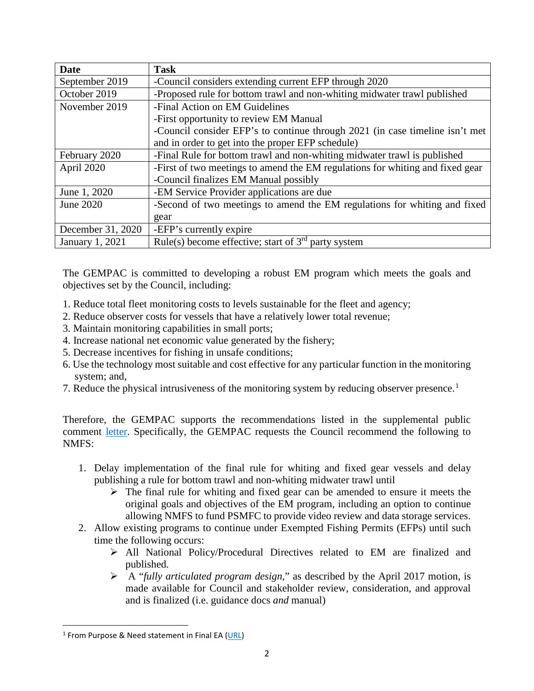| <b>Date</b>       | <b>Task</b>                                                                   |
|-------------------|-------------------------------------------------------------------------------|
| September 2019    | -Council considers extending current EFP through 2020                         |
| October 2019      | -Proposed rule for bottom trawl and non-whiting midwater trawl published      |
| November 2019     | -Final Action on EM Guidelines                                                |
|                   | -First opportunity to review EM Manual                                        |
|                   | -Council consider EFP's to continue through 2021 (in case timeline isn't met  |
|                   | and in order to get into the proper EFP schedule)                             |
| February 2020     | -Final Rule for bottom trawl and non-whiting midwater trawl is published      |
| April 2020        | -First of two meetings to amend the EM regulations for whiting and fixed gear |
|                   | -Council finalizes EM Manual possibly                                         |
| June 1, 2020      | -EM Service Provider applications are due                                     |
| June 2020         | -Second of two meetings to amend the EM regulations for whiting and fixed     |
|                   | gear                                                                          |
| December 31, 2020 | -EFP's currently expire                                                       |
| January 1, 2021   | Rule(s) become effective; start of $3rd$ party system                         |

The GEMPAC is committed to developing a robust EM program which meets the goals and objectives set by the Council, including:

- 1. Reduce total fleet monitoring costs to levels sustainable for the fleet and agency;
- 2. Reduce observer costs for vessels that have a relatively lower total revenue;
- 3. Maintain monitoring capabilities in small ports;
- 4. Increase national net economic value generated by the fishery;
- 5. Decrease incentives for fishing in unsafe conditions;
- 6. Use the technology most suitable and cost effective for any particular function in the monitoring system; and,
- 7. Reduce the physical intrusiveness of the monitoring system by reducing observer presence.<sup>[1](#page-1-0)</sup>

Therefore, the GEMPAC supports the recommendations listed in the supplemental public comment [letter.](https://pfmc.psmfc.org/CommentReview/DownloadFile?p=e3079367-68f0-4ace-94ed-84726a293818.pdf&fileName=H3%20Final%20supplemental%20PFMC%20September.pdf) Specifically, the GEMPAC requests the Council recommend the following to NMFS:

- 1. Delay implementation of the final rule for whiting and fixed gear vessels and delay publishing a rule for bottom trawl and non-whiting midwater trawl until
	- $\triangleright$  The final rule for whiting and fixed gear can be amended to ensure it meets the original goals and objectives of the EM program, including an option to continue allowing NMFS to fund PSMFC to provide video review and data storage services.
- 2. Allow existing programs to continue under Exempted Fishing Permits (EFPs) until such time the following occurs:
	- All National Policy/Procedural Directives related to EM are finalized and published.
	- A "*fully articulated program design*," as described by the April 2017 motion, is made available for Council and stakeholder review, consideration, and approval and is finalized (i.e. guidance docs *and* manual)

<span id="page-1-0"></span> $1$  From Purpose & Need statement in Final EA [\(URL\)](https://www.fisheries.noaa.gov/resource/document/regulatory-amendment-pacific-coast-groundfish-fishery-management-plan-implement)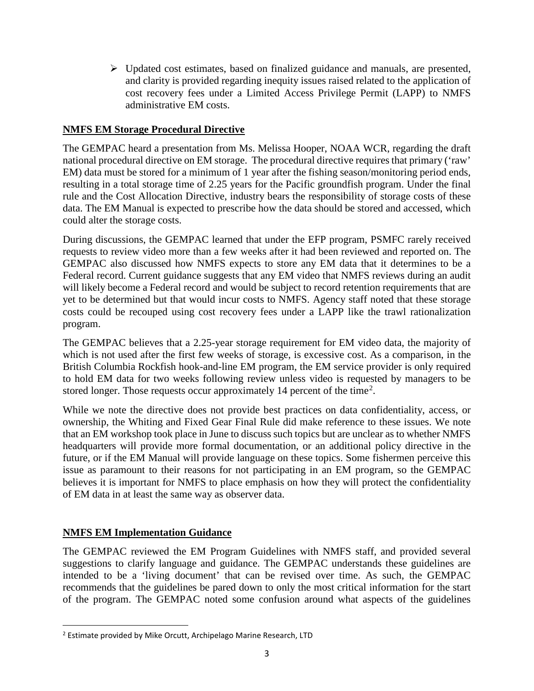Updated cost estimates, based on finalized guidance and manuals, are presented, and clarity is provided regarding inequity issues raised related to the application of cost recovery fees under a Limited Access Privilege Permit (LAPP) to NMFS administrative EM costs.

## **NMFS EM Storage Procedural Directive**

The GEMPAC heard a presentation from Ms. Melissa Hooper, NOAA WCR, regarding the draft national procedural directive on EM storage. The procedural directive requires that primary ('raw' EM) data must be stored for a minimum of 1 year after the fishing season/monitoring period ends, resulting in a total storage time of 2.25 years for the Pacific groundfish program. Under the final rule and the Cost Allocation Directive, industry bears the responsibility of storage costs of these data. The EM Manual is expected to prescribe how the data should be stored and accessed, which could alter the storage costs.

During discussions, the GEMPAC learned that under the EFP program, PSMFC rarely received requests to review video more than a few weeks after it had been reviewed and reported on. The GEMPAC also discussed how NMFS expects to store any EM data that it determines to be a Federal record. Current guidance suggests that any EM video that NMFS reviews during an audit will likely become a Federal record and would be subject to record retention requirements that are yet to be determined but that would incur costs to NMFS. Agency staff noted that these storage costs could be recouped using cost recovery fees under a LAPP like the trawl rationalization program.

The GEMPAC believes that a 2.25-year storage requirement for EM video data, the majority of which is not used after the first few weeks of storage, is excessive cost. As a comparison, in the British Columbia Rockfish hook-and-line EM program, the EM service provider is only required to hold EM data for two weeks following review unless video is requested by managers to be stored longer. Those requests occur approximately 14 percent of the time<sup>[2](#page-2-0)</sup>.

While we note the directive does not provide best practices on data confidentiality, access, or ownership, the Whiting and Fixed Gear Final Rule did make reference to these issues. We note that an EM workshop took place in June to discuss such topics but are unclear as to whether NMFS headquarters will provide more formal documentation, or an additional policy directive in the future, or if the EM Manual will provide language on these topics. Some fishermen perceive this issue as paramount to their reasons for not participating in an EM program, so the GEMPAC believes it is important for NMFS to place emphasis on how they will protect the confidentiality of EM data in at least the same way as observer data.

## **NMFS EM Implementation Guidance**

The GEMPAC reviewed the EM Program Guidelines with NMFS staff, and provided several suggestions to clarify language and guidance. The GEMPAC understands these guidelines are intended to be a 'living document' that can be revised over time. As such, the GEMPAC recommends that the guidelines be pared down to only the most critical information for the start of the program. The GEMPAC noted some confusion around what aspects of the guidelines

<span id="page-2-0"></span><sup>&</sup>lt;sup>2</sup> Estimate provided by Mike Orcutt, Archipelago Marine Research, LTD